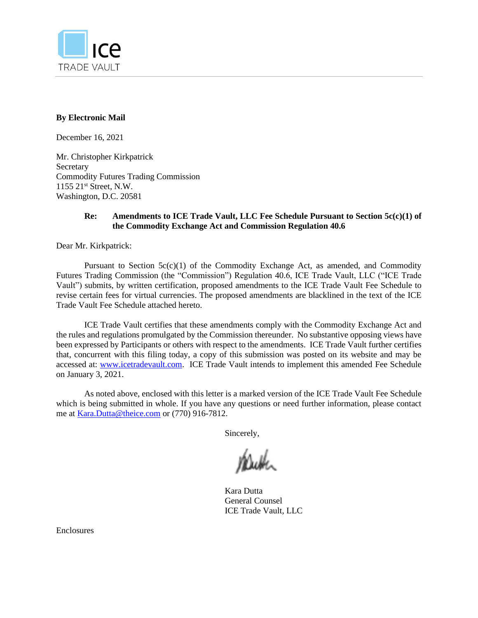

#### **By Electronic Mail**

December 16, 2021

Mr. Christopher Kirkpatrick Secretary Commodity Futures Trading Commission 1155 21st Street, N.W. Washington, D.C. 20581

#### **Re: Amendments to ICE Trade Vault, LLC Fee Schedule Pursuant to Section 5c(c)(1) of the Commodity Exchange Act and Commission Regulation 40.6**

Dear Mr. Kirkpatrick:

Pursuant to Section  $5c(c)(1)$  of the Commodity Exchange Act, as amended, and Commodity Futures Trading Commission (the "Commission") Regulation 40.6, ICE Trade Vault, LLC ("ICE Trade Vault") submits, by written certification, proposed amendments to the ICE Trade Vault Fee Schedule to revise certain fees for virtual currencies. The proposed amendments are blacklined in the text of the ICE Trade Vault Fee Schedule attached hereto.

ICE Trade Vault certifies that these amendments comply with the Commodity Exchange Act and the rules and regulations promulgated by the Commission thereunder. No substantive opposing views have been expressed by Participants or others with respect to the amendments. ICE Trade Vault further certifies that, concurrent with this filing today, a copy of this submission was posted on its website and may be accessed at: [www.icetradevault.com.](http://www.icetradevault.com/) ICE Trade Vault intends to implement this amended Fee Schedule on January 3, 2021.

As noted above, enclosed with this letter is a marked version of the ICE Trade Vault Fee Schedule which is being submitted in whole. If you have any questions or need further information, please contact me at [Kara.](mailto:Kara)Dutta@theice.com or (770) 916-7812.

Sincerely,

Kara Dutta General Counsel ICE Trade Vault, LLC

Enclosures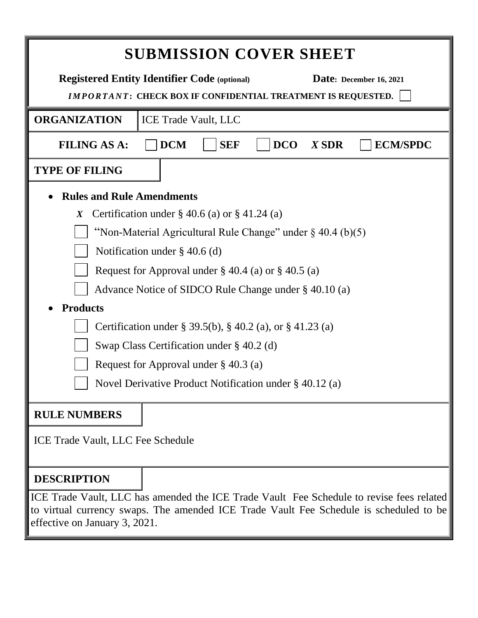| <b>SUBMISSION COVER SHEET</b>                                                                                                                                                      |  |  |  |
|------------------------------------------------------------------------------------------------------------------------------------------------------------------------------------|--|--|--|
| <b>Registered Entity Identifier Code (optional)</b><br>Date: December 16, 2021<br><b>IMPORTANT: CHECK BOX IF CONFIDENTIAL TREATMENT IS REQUESTED.</b>                              |  |  |  |
| <b>ORGANIZATION</b><br><b>ICE Trade Vault, LLC</b>                                                                                                                                 |  |  |  |
| <b>DCM</b><br><b>SEF</b><br><b>FILING AS A:</b><br><b>DCO</b><br><b>ECM/SPDC</b><br>$X$ SDR                                                                                        |  |  |  |
| <b>TYPE OF FILING</b>                                                                                                                                                              |  |  |  |
| <b>Rules and Rule Amendments</b>                                                                                                                                                   |  |  |  |
| Certification under $\S$ 40.6 (a) or $\S$ 41.24 (a)<br>$\boldsymbol{X}$                                                                                                            |  |  |  |
| "Non-Material Agricultural Rule Change" under $\S$ 40.4 (b)(5)                                                                                                                     |  |  |  |
| Notification under $\S$ 40.6 (d)                                                                                                                                                   |  |  |  |
| Request for Approval under $\S 40.4$ (a) or $\S 40.5$ (a)                                                                                                                          |  |  |  |
| Advance Notice of SIDCO Rule Change under § 40.10 (a)                                                                                                                              |  |  |  |
| <b>Products</b>                                                                                                                                                                    |  |  |  |
| Certification under § 39.5(b), § 40.2 (a), or § 41.23 (a)                                                                                                                          |  |  |  |
| Swap Class Certification under $\S$ 40.2 (d)                                                                                                                                       |  |  |  |
|                                                                                                                                                                                    |  |  |  |
| Request for Approval under $\S$ 40.3 (a)                                                                                                                                           |  |  |  |
| Novel Derivative Product Notification under § 40.12 (a)                                                                                                                            |  |  |  |
| <b>RULE NUMBERS</b>                                                                                                                                                                |  |  |  |
| ICE Trade Vault, LLC Fee Schedule                                                                                                                                                  |  |  |  |
| <b>DESCRIPTION</b>                                                                                                                                                                 |  |  |  |
| ICE Trade Vault, LLC has amended the ICE Trade Vault Fee Schedule to revise fees related<br>to virtual currency swaps. The amended ICE Trade Vault Fee Schedule is scheduled to be |  |  |  |

effective on January 3, 2021.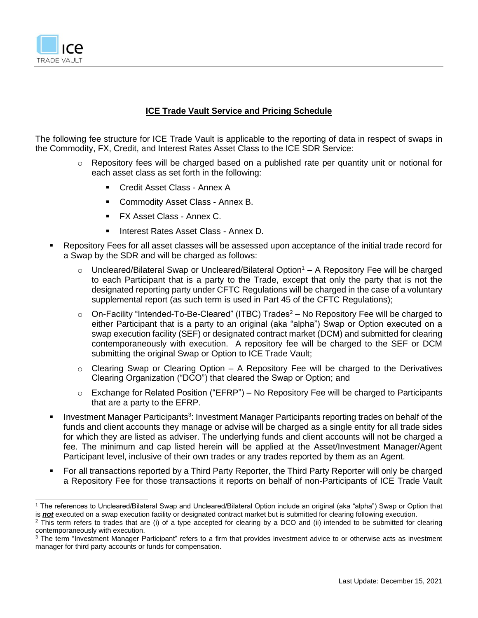

#### **ICE Trade Vault Service and Pricing Schedule**

The following fee structure for ICE Trade Vault is applicable to the reporting of data in respect of swaps in the Commodity, FX, Credit, and Interest Rates Asset Class to the ICE SDR Service:

- o Repository fees will be charged based on a published rate per quantity unit or notional for each asset class as set forth in the following:
	- Credit Asset Class Annex A
	- Commodity Asset Class Annex B.
	- **FX Asset Class Annex C.**
	- Interest Rates Asset Class Annex D.
- Repository Fees for all asset classes will be assessed upon acceptance of the initial trade record for a Swap by the SDR and will be charged as follows:
	- $\circ$  Uncleared/Bilateral Swap or Uncleared/Bilateral Option<sup>1</sup> A Repository Fee will be charged to each Participant that is a party to the Trade, except that only the party that is not the designated reporting party under CFTC Regulations will be charged in the case of a voluntary supplemental report (as such term is used in Part 45 of the CFTC Regulations);
	- $\circ$  On-Facility "Intended-To-Be-Cleared" (ITBC) Trades<sup>2</sup> No Repository Fee will be charged to either Participant that is a party to an original (aka "alpha") Swap or Option executed on a swap execution facility (SEF) or designated contract market (DCM) and submitted for clearing contemporaneously with execution. A repository fee will be charged to the SEF or DCM submitting the original Swap or Option to ICE Trade Vault;
	- $\circ$  Clearing Swap or Clearing Option A Repository Fee will be charged to the Derivatives Clearing Organization ("DCO") that cleared the Swap or Option; and
	- $\circ$  Exchange for Related Position ("EFRP") No Repository Fee will be charged to Participants that are a party to the EFRP.
- **EXP** Investment Manager Participants<sup>3</sup>: Investment Manager Participants reporting trades on behalf of the funds and client accounts they manage or advise will be charged as a single entity for all trade sides for which they are listed as adviser. The underlying funds and client accounts will not be charged a fee. The minimum and cap listed herein will be applied at the Asset/Investment Manager/Agent Participant level, inclusive of their own trades or any trades reported by them as an Agent.
- For all transactions reported by a Third Party Reporter, the Third Party Reporter will only be charged a Repository Fee for those transactions it reports on behalf of non-Participants of ICE Trade Vault

<sup>1</sup> The references to Uncleared/Bilateral Swap and Uncleared/Bilateral Option include an original (aka "alpha") Swap or Option that is *not* executed on a swap execution facility or designated contract market but is submitted for clearing following execution.

 $2$  This term refers to trades that are (i) of a type accepted for clearing by a DCO and (ii) intended to be submitted for clearing contemporaneously with execution.

<sup>&</sup>lt;sup>3</sup> The term "Investment Manager Participant" refers to a firm that provides investment advice to or otherwise acts as investment manager for third party accounts or funds for compensation.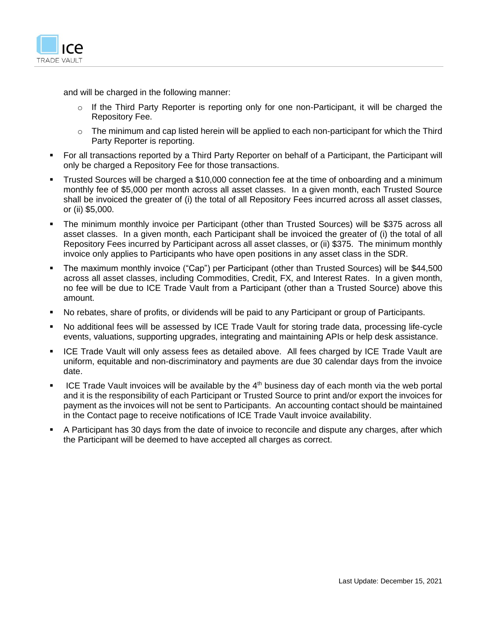

and will be charged in the following manner:

- o If the Third Party Reporter is reporting only for one non-Participant, it will be charged the Repository Fee.
- $\circ$  The minimum and cap listed herein will be applied to each non-participant for which the Third Party Reporter is reporting.
- For all transactions reported by a Third Party Reporter on behalf of a Participant, the Participant will only be charged a Repository Fee for those transactions.
- **•** Trusted Sources will be charged a \$10,000 connection fee at the time of onboarding and a minimum monthly fee of \$5,000 per month across all asset classes. In a given month, each Trusted Source shall be invoiced the greater of (i) the total of all Repository Fees incurred across all asset classes, or (ii) \$5,000.
- The minimum monthly invoice per Participant (other than Trusted Sources) will be \$375 across all asset classes. In a given month, each Participant shall be invoiced the greater of (i) the total of all Repository Fees incurred by Participant across all asset classes, or (ii) \$375. The minimum monthly invoice only applies to Participants who have open positions in any asset class in the SDR.
- The maximum monthly invoice ("Cap") per Participant (other than Trusted Sources) will be \$44,500 across all asset classes, including Commodities, Credit, FX, and Interest Rates. In a given month, no fee will be due to ICE Trade Vault from a Participant (other than a Trusted Source) above this amount.
- No rebates, share of profits, or dividends will be paid to any Participant or group of Participants.
- No additional fees will be assessed by ICE Trade Vault for storing trade data, processing life-cycle events, valuations, supporting upgrades, integrating and maintaining APIs or help desk assistance.
- **ICE Trade Vault will only assess fees as detailed above. All fees charged by ICE Trade Vault are** uniform, equitable and non-discriminatory and payments are due 30 calendar days from the invoice date.
- ICE Trade Vault invoices will be available by the 4<sup>th</sup> business day of each month via the web portal and it is the responsibility of each Participant or Trusted Source to print and/or export the invoices for payment as the invoices will not be sent to Participants. An accounting contact should be maintained in the Contact page to receive notifications of ICE Trade Vault invoice availability.
- A Participant has 30 days from the date of invoice to reconcile and dispute any charges, after which the Participant will be deemed to have accepted all charges as correct.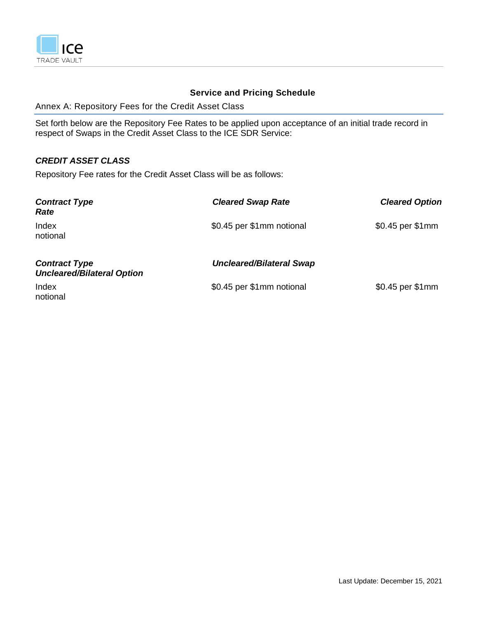

# **Service and Pricing Schedule**

Annex A: Repository Fees for the Credit Asset Class

Set forth below are the Repository Fee Rates to be applied upon acceptance of an initial trade record in respect of Swaps in the Credit Asset Class to the ICE SDR Service:

### *CREDIT ASSET CLASS*

Repository Fee rates for the Credit Asset Class will be as follows:

| <b>Contract Type</b><br>Rate                              | <b>Cleared Swap Rate</b>        | <b>Cleared Option</b> |
|-----------------------------------------------------------|---------------------------------|-----------------------|
| Index<br>notional                                         | \$0.45 per \$1mm notional       | \$0.45 per \$1mm      |
| <b>Contract Type</b><br><b>Uncleared/Bilateral Option</b> | <b>Uncleared/Bilateral Swap</b> |                       |
| Index<br>notional                                         | \$0.45 per \$1mm notional       | \$0.45 per \$1mm      |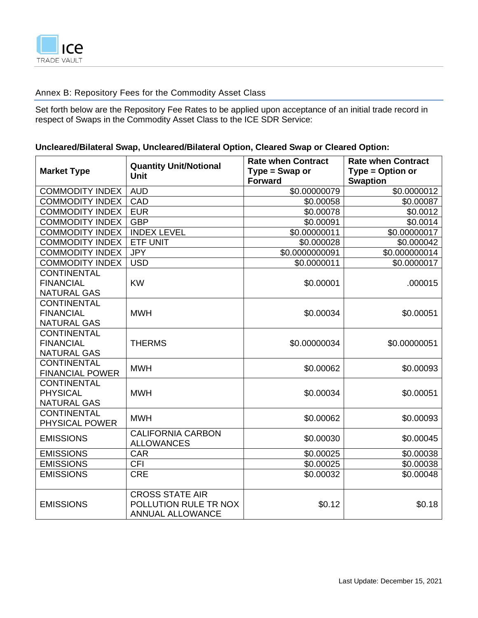

# Annex B: Repository Fees for the Commodity Asset Class

Set forth below are the Repository Fee Rates to be applied upon acceptance of an initial trade record in respect of Swaps in the Commodity Asset Class to the ICE SDR Service:

### **Uncleared/Bilateral Swap, Uncleared/Bilateral Option, Cleared Swap or Cleared Option:**

|                        | <b>Quantity Unit/Notional</b> | <b>Rate when Contract</b>          | <b>Rate when Contract</b>           |
|------------------------|-------------------------------|------------------------------------|-------------------------------------|
| <b>Market Type</b>     | <b>Unit</b>                   | $Type = Swap$ or<br><b>Forward</b> | Type = Option or<br><b>Swaption</b> |
| <b>COMMODITY INDEX</b> | <b>AUD</b>                    | \$0.00000079                       | \$0.0000012                         |
| <b>COMMODITY INDEX</b> | CAD                           | \$0.00058                          | \$0.00087                           |
| <b>COMMODITY INDEX</b> | <b>EUR</b>                    | \$0.00078                          | \$0.0012                            |
| <b>COMMODITY INDEX</b> | <b>GBP</b>                    | \$0.00091                          | \$0.0014                            |
| <b>COMMODITY INDEX</b> | <b>INDEX LEVEL</b>            | \$0.00000011                       | \$0.00000017                        |
| <b>COMMODITY INDEX</b> | <b>ETF UNIT</b>               | \$0.000028                         | \$0.000042                          |
| <b>COMMODITY INDEX</b> | <b>JPY</b>                    | \$0.0000000091                     | \$0.000000014                       |
| <b>COMMODITY INDEX</b> | <b>USD</b>                    | \$0.0000011                        | \$0.0000017                         |
| <b>CONTINENTAL</b>     |                               |                                    |                                     |
| <b>FINANCIAL</b>       | <b>KW</b>                     | \$0.00001                          | .000015                             |
| <b>NATURAL GAS</b>     |                               |                                    |                                     |
| <b>CONTINENTAL</b>     |                               |                                    |                                     |
| <b>FINANCIAL</b>       | <b>MWH</b>                    | \$0.00034                          | \$0.00051                           |
| <b>NATURAL GAS</b>     |                               |                                    |                                     |
| <b>CONTINENTAL</b>     |                               |                                    |                                     |
| <b>FINANCIAL</b>       | <b>THERMS</b>                 | \$0.00000034                       | \$0.00000051                        |
| <b>NATURAL GAS</b>     |                               |                                    |                                     |
| <b>CONTINENTAL</b>     | <b>MWH</b>                    | \$0.00062                          | \$0.00093                           |
| <b>FINANCIAL POWER</b> |                               |                                    |                                     |
| <b>CONTINENTAL</b>     |                               |                                    |                                     |
| <b>PHYSICAL</b>        | <b>MWH</b>                    | \$0.00034                          | \$0.00051                           |
| <b>NATURAL GAS</b>     |                               |                                    |                                     |
| <b>CONTINENTAL</b>     | <b>MWH</b>                    | \$0.00062                          | \$0.00093                           |
| PHYSICAL POWER         |                               |                                    |                                     |
| <b>EMISSIONS</b>       | <b>CALIFORNIA CARBON</b>      | \$0.00030                          | \$0.00045                           |
|                        | <b>ALLOWANCES</b>             |                                    |                                     |
| <b>EMISSIONS</b>       | <b>CAR</b>                    | \$0.00025                          | \$0.00038                           |
| <b>EMISSIONS</b>       | <b>CFI</b>                    | \$0.00025                          | \$0.00038                           |
| <b>EMISSIONS</b>       | <b>CRE</b>                    | \$0.00032                          | \$0.00048                           |
|                        | <b>CROSS STATE AIR</b>        |                                    |                                     |
| <b>EMISSIONS</b>       | POLLUTION RULE TR NOX         | \$0.12                             | \$0.18                              |
|                        | <b>ANNUAL ALLOWANCE</b>       |                                    |                                     |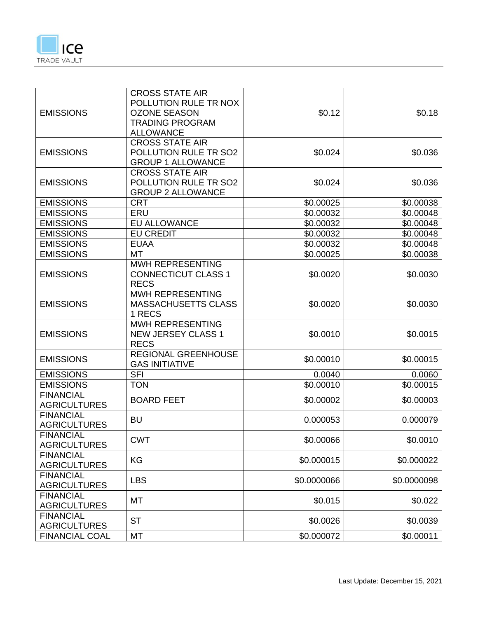

| <b>EMISSIONS</b>                        | <b>CROSS STATE AIR</b><br>POLLUTION RULE TR NOX<br><b>OZONE SEASON</b><br><b>TRADING PROGRAM</b><br><b>ALLOWANCE</b> | \$0.12      | \$0.18      |
|-----------------------------------------|----------------------------------------------------------------------------------------------------------------------|-------------|-------------|
| <b>EMISSIONS</b>                        | <b>CROSS STATE AIR</b><br>POLLUTION RULE TR SO2<br><b>GROUP 1 ALLOWANCE</b>                                          | \$0.024     | \$0.036     |
| <b>EMISSIONS</b>                        | <b>CROSS STATE AIR</b><br>POLLUTION RULE TR SO2<br><b>GROUP 2 ALLOWANCE</b>                                          | \$0.024     | \$0.036     |
| <b>EMISSIONS</b>                        | <b>CRT</b>                                                                                                           | \$0.00025   | \$0.00038   |
| <b>EMISSIONS</b>                        | ERU                                                                                                                  | \$0.00032   | \$0.00048   |
| <b>EMISSIONS</b>                        | <b>EU ALLOWANCE</b>                                                                                                  | \$0.00032   | \$0.00048   |
| <b>EMISSIONS</b>                        | <b>EU CREDIT</b>                                                                                                     | \$0.00032   | \$0.00048   |
| <b>EMISSIONS</b>                        | <b>EUAA</b>                                                                                                          | \$0.00032   | \$0.00048   |
| <b>EMISSIONS</b>                        | MT                                                                                                                   | \$0.00025   | \$0.00038   |
| <b>EMISSIONS</b>                        | <b>MWH REPRESENTING</b><br><b>CONNECTICUT CLASS 1</b><br><b>RECS</b>                                                 | \$0.0020    | \$0.0030    |
| <b>EMISSIONS</b>                        | MWH REPRESENTING<br><b>MASSACHUSETTS CLASS</b><br>1 RECS                                                             | \$0.0020    | \$0.0030    |
| <b>EMISSIONS</b>                        | <b>MWH REPRESENTING</b><br><b>NEW JERSEY CLASS 1</b><br><b>RECS</b>                                                  | \$0.0010    | \$0.0015    |
| <b>EMISSIONS</b>                        | <b>REGIONAL GREENHOUSE</b><br><b>GAS INITIATIVE</b>                                                                  | \$0.00010   | \$0.00015   |
| <b>EMISSIONS</b>                        | <b>SFI</b>                                                                                                           | 0.0040      | 0.0060      |
| <b>EMISSIONS</b>                        | <b>TON</b>                                                                                                           | \$0.00010   | \$0.00015   |
| <b>FINANCIAL</b><br><b>AGRICULTURES</b> | <b>BOARD FEET</b>                                                                                                    | \$0.00002   | \$0.00003   |
| <b>FINANCIAL</b><br><b>AGRICULTURES</b> | <b>BU</b>                                                                                                            | 0.000053    | 0.000079    |
| <b>FINANCIAL</b><br><b>AGRICULTURES</b> | <b>CWT</b>                                                                                                           | \$0.00066   | \$0.0010    |
| <b>FINANCIAL</b><br><b>AGRICULTURES</b> | KG                                                                                                                   | \$0.000015  | \$0.000022  |
| <b>FINANCIAL</b><br><b>AGRICULTURES</b> | <b>LBS</b>                                                                                                           | \$0.0000066 | \$0.0000098 |
| <b>FINANCIAL</b><br><b>AGRICULTURES</b> | MT                                                                                                                   | \$0.015     | \$0.022     |
| <b>FINANCIAL</b><br><b>AGRICULTURES</b> | <b>ST</b>                                                                                                            | \$0.0026    | \$0.0039    |
| <b>FINANCIAL COAL</b>                   | MT                                                                                                                   | \$0.000072  | \$0.00011   |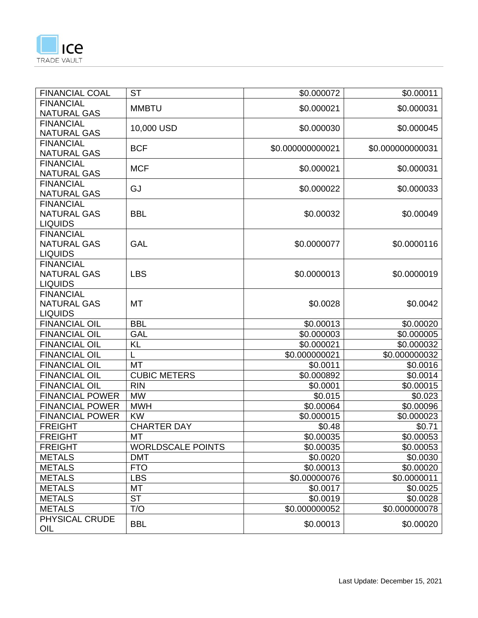

| <b>FINANCIAL COAL</b>              | <b>ST</b>                | \$0.000072             | \$0.00011        |
|------------------------------------|--------------------------|------------------------|------------------|
| <b>FINANCIAL</b>                   | <b>MMBTU</b>             | \$0.000021             | \$0.000031       |
| <b>NATURAL GAS</b>                 |                          |                        |                  |
| <b>FINANCIAL</b>                   | 10,000 USD               | \$0.000030             | \$0.000045       |
| <b>NATURAL GAS</b>                 |                          |                        |                  |
| <b>FINANCIAL</b>                   | <b>BCF</b>               | \$0.000000000021       | \$0.000000000031 |
| <b>NATURAL GAS</b>                 |                          |                        |                  |
| <b>FINANCIAL</b>                   | <b>MCF</b>               | \$0.000021             | \$0.000031       |
| <b>NATURAL GAS</b>                 |                          |                        |                  |
| <b>FINANCIAL</b>                   | GJ                       | \$0.000022             | \$0.000033       |
| <b>NATURAL GAS</b>                 |                          |                        |                  |
| <b>FINANCIAL</b>                   |                          |                        |                  |
| <b>NATURAL GAS</b>                 | <b>BBL</b>               | \$0.00032              | \$0.00049        |
| <b>LIQUIDS</b>                     |                          |                        |                  |
| <b>FINANCIAL</b>                   |                          |                        |                  |
| <b>NATURAL GAS</b>                 | <b>GAL</b>               | \$0.0000077            | \$0.0000116      |
| <b>LIQUIDS</b><br><b>FINANCIAL</b> |                          |                        |                  |
| <b>NATURAL GAS</b>                 | <b>LBS</b>               | \$0.0000013            | \$0.0000019      |
| <b>LIQUIDS</b>                     |                          |                        |                  |
| <b>FINANCIAL</b>                   |                          |                        |                  |
| <b>NATURAL GAS</b>                 | <b>MT</b>                | \$0.0028               | \$0.0042         |
| <b>LIQUIDS</b>                     |                          |                        |                  |
| <b>FINANCIAL OIL</b>               | <b>BBL</b>               | \$0.00013              | \$0.00020        |
| <b>FINANCIAL OIL</b>               | <b>GAL</b>               | \$0.000003             | \$0.000005       |
| <b>FINANCIAL OIL</b>               | <b>KL</b>                | \$0.000021             | \$0.000032       |
| <b>FINANCIAL OIL</b>               |                          | \$0.000000021          | \$0.000000032    |
| <b>FINANCIAL OIL</b>               | <b>MT</b>                | \$0.0011               | \$0.0016         |
| <b>FINANCIAL OIL</b>               | <b>CUBIC METERS</b>      | $\overline{$0.000892}$ | \$0.0014         |
| <b>FINANCIAL OIL</b>               | <b>RIN</b>               | \$0.0001               | \$0.00015        |
| <b>FINANCIAL POWER</b>             | <b>MW</b>                | \$0.015                | \$0.023          |
| <b>FINANCIAL POWER</b>             | <b>MWH</b>               | \$0.00064              | \$0.00096        |
| <b>FINANCIAL POWER</b>             | <b>KW</b>                | \$0.000015             | \$0.000023       |
| <b>FREIGHT</b>                     | <b>CHARTER DAY</b>       | \$0.48                 | \$0.71           |
| <b>FREIGHT</b>                     | MT                       | \$0.00035              | \$0.00053        |
| <b>FREIGHT</b>                     | <b>WORLDSCALE POINTS</b> | \$0.00035              | \$0.00053        |
| <b>METALS</b>                      | <b>DMT</b>               | \$0.0020               | \$0.0030         |
| <b>METALS</b>                      | <b>FTO</b>               | \$0.00013              | \$0.00020        |
| <b>METALS</b>                      | <b>LBS</b>               | \$0.00000076           | \$0.0000011      |
| <b>METALS</b>                      | MT                       | \$0.0017               | \$0.0025         |
| <b>METALS</b>                      | <b>ST</b>                | \$0.0019               | \$0.0028         |
| <b>METALS</b>                      | T/O                      | \$0.000000052          | \$0.000000078    |
| PHYSICAL CRUDE                     |                          |                        |                  |
| OIL                                | <b>BBL</b>               | \$0.00013              | \$0.00020        |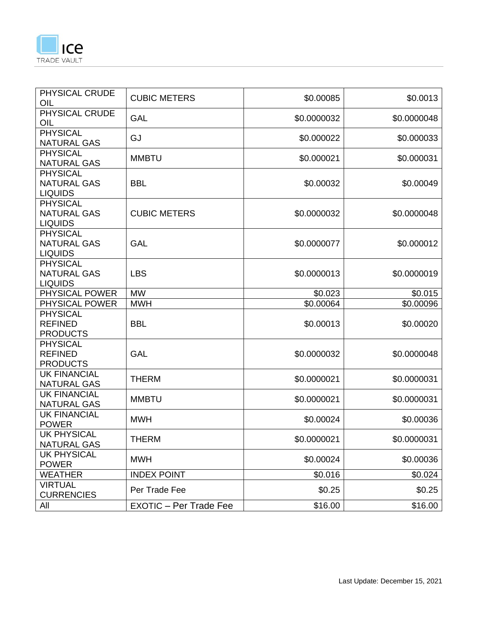

| PHYSICAL CRUDE<br>OIL                                   | <b>CUBIC METERS</b>           | \$0.00085   | \$0.0013    |
|---------------------------------------------------------|-------------------------------|-------------|-------------|
| PHYSICAL CRUDE<br>OIL                                   | <b>GAL</b>                    | \$0.0000032 | \$0.0000048 |
| <b>PHYSICAL</b><br><b>NATURAL GAS</b>                   | GJ                            | \$0.000022  | \$0.000033  |
| <b>PHYSICAL</b><br><b>NATURAL GAS</b>                   | <b>MMBTU</b>                  | \$0.000021  | \$0.000031  |
| <b>PHYSICAL</b><br><b>NATURAL GAS</b><br><b>LIQUIDS</b> | <b>BBL</b>                    | \$0.00032   | \$0.00049   |
| <b>PHYSICAL</b><br><b>NATURAL GAS</b><br><b>LIQUIDS</b> | <b>CUBIC METERS</b>           | \$0.0000032 | \$0.0000048 |
| <b>PHYSICAL</b><br><b>NATURAL GAS</b><br><b>LIQUIDS</b> | <b>GAL</b>                    | \$0.0000077 | \$0.000012  |
| <b>PHYSICAL</b><br><b>NATURAL GAS</b><br><b>LIQUIDS</b> | <b>LBS</b>                    | \$0.0000013 | \$0.0000019 |
| PHYSICAL POWER                                          | <b>MW</b>                     | \$0.023     | \$0.015     |
| PHYSICAL POWER                                          | <b>MWH</b>                    | \$0.00064   | \$0.00096   |
| <b>PHYSICAL</b><br><b>REFINED</b><br><b>PRODUCTS</b>    | <b>BBL</b>                    | \$0.00013   | \$0.00020   |
| <b>PHYSICAL</b><br><b>REFINED</b><br><b>PRODUCTS</b>    | <b>GAL</b>                    | \$0.0000032 | \$0.0000048 |
| <b>UK FINANCIAL</b><br><b>NATURAL GAS</b>               | <b>THERM</b>                  | \$0.0000021 | \$0.0000031 |
| <b>UK FINANCIAL</b><br><b>NATURAL GAS</b>               | <b>MMBTU</b>                  | \$0.0000021 | \$0.0000031 |
| <b>UK FINANCIAL</b><br><b>POWER</b>                     | <b>MWH</b>                    | \$0.00024   | \$0.00036   |
| <b>UK PHYSICAL</b><br><b>NATURAL GAS</b>                | THERM                         | \$0.0000021 | \$0.0000031 |
| <b>UK PHYSICAL</b><br><b>POWER</b>                      | <b>MWH</b>                    | \$0.00024   | \$0.00036   |
| <b>WEATHER</b>                                          | <b>INDEX POINT</b>            | \$0.016     | \$0.024     |
| <b>VIRTUAL</b><br><b>CURRENCIES</b>                     | Per Trade Fee                 | \$0.25      | \$0.25      |
| All                                                     | <b>EXOTIC - Per Trade Fee</b> | \$16.00     | \$16.00     |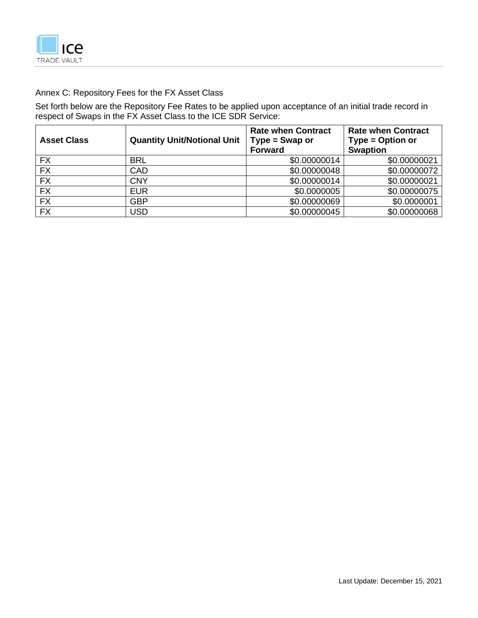

# Annex C: Repository Fees for the FX Asset Class

Set forth below are the Repository Fee Rates to be applied upon acceptance of an initial trade record in respect of Swaps in the FX Asset Class to the ICE SDR Service:

| <b>Asset Class</b> | <b>Quantity Unit/Notional Unit</b> | <b>Rate when Contract</b><br>$Type = Swap$ or<br><b>Forward</b> | <b>Rate when Contract</b><br>Type = Option or<br><b>Swaption</b> |
|--------------------|------------------------------------|-----------------------------------------------------------------|------------------------------------------------------------------|
| <b>FX</b>          | <b>BRL</b>                         | \$0.00000014                                                    | \$0.00000021                                                     |
| <b>FX</b>          | CAD                                | \$0.00000048                                                    | \$0.00000072                                                     |
| <b>FX</b>          | <b>CNY</b>                         | \$0.00000014                                                    | \$0.00000021                                                     |
| <b>FX</b>          | <b>EUR</b>                         | \$0.0000005                                                     | \$0.00000075                                                     |
| <b>FX</b>          | <b>GBP</b>                         | \$0.00000069                                                    | \$0.0000001                                                      |
| <b>FX</b>          | USD                                | \$0.00000045                                                    | \$0.00000068                                                     |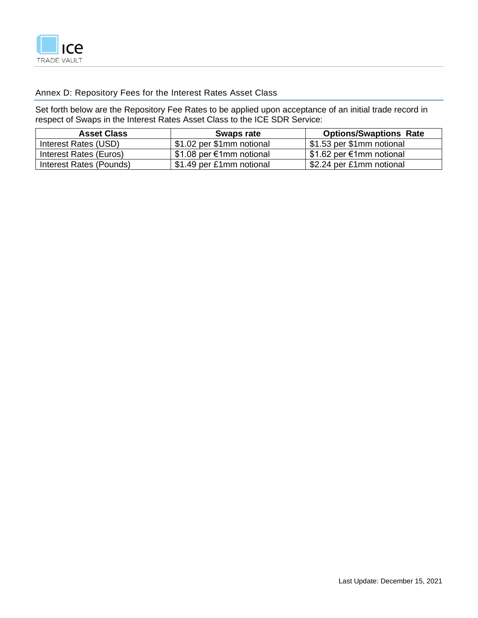

# Annex D: Repository Fees for the Interest Rates Asset Class

Set forth below are the Repository Fee Rates to be applied upon acceptance of an initial trade record in respect of Swaps in the Interest Rates Asset Class to the ICE SDR Service:

| <b>Asset Class</b>      | Swaps rate                | <b>Options/Swaptions Rate</b> |
|-------------------------|---------------------------|-------------------------------|
| Interest Rates (USD)    | \$1.02 per \$1mm notional | \$1.53 per \$1mm notional     |
| Interest Rates (Euros)  | \$1.08 per €1mm notional  | \$1.62 per €1mm notional      |
| Interest Rates (Pounds) | \$1.49 per £1mm notional  | \$2.24 per £1mm notional      |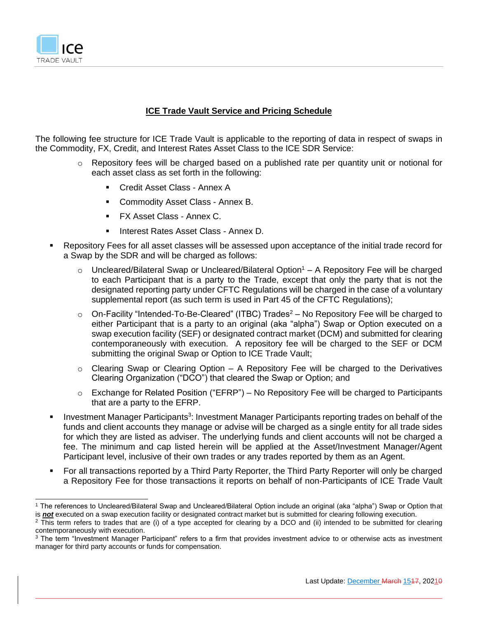

### **ICE Trade Vault Service and Pricing Schedule**

The following fee structure for ICE Trade Vault is applicable to the reporting of data in respect of swaps in the Commodity, FX, Credit, and Interest Rates Asset Class to the ICE SDR Service:

- o Repository fees will be charged based on a published rate per quantity unit or notional for each asset class as set forth in the following:
	- Credit Asset Class Annex A
	- Commodity Asset Class Annex B.
	- **FX Asset Class Annex C.**
	- Interest Rates Asset Class Annex D.
- Repository Fees for all asset classes will be assessed upon acceptance of the initial trade record for a Swap by the SDR and will be charged as follows:
	- $\circ$  Uncleared/Bilateral Swap or Uncleared/Bilateral Option<sup>1</sup> A Repository Fee will be charged to each Participant that is a party to the Trade, except that only the party that is not the designated reporting party under CFTC Regulations will be charged in the case of a voluntary supplemental report (as such term is used in Part 45 of the CFTC Regulations);
	- $\circ$  On-Facility "Intended-To-Be-Cleared" (ITBC) Trades<sup>2</sup> No Repository Fee will be charged to either Participant that is a party to an original (aka "alpha") Swap or Option executed on a swap execution facility (SEF) or designated contract market (DCM) and submitted for clearing contemporaneously with execution. A repository fee will be charged to the SEF or DCM submitting the original Swap or Option to ICE Trade Vault;
	- $\circ$  Clearing Swap or Clearing Option A Repository Fee will be charged to the Derivatives Clearing Organization ("DCO") that cleared the Swap or Option; and
	- $\circ$  Exchange for Related Position ("EFRP") No Repository Fee will be charged to Participants that are a party to the EFRP.
- **EXP** Investment Manager Participants<sup>3</sup>: Investment Manager Participants reporting trades on behalf of the funds and client accounts they manage or advise will be charged as a single entity for all trade sides for which they are listed as adviser. The underlying funds and client accounts will not be charged a fee. The minimum and cap listed herein will be applied at the Asset/Investment Manager/Agent Participant level, inclusive of their own trades or any trades reported by them as an Agent.
- For all transactions reported by a Third Party Reporter, the Third Party Reporter will only be charged a Repository Fee for those transactions it reports on behalf of non-Participants of ICE Trade Vault

<sup>1</sup> The references to Uncleared/Bilateral Swap and Uncleared/Bilateral Option include an original (aka "alpha") Swap or Option that is *not* executed on a swap execution facility or designated contract market but is submitted for clearing following execution.

 $2$  This term refers to trades that are (i) of a type accepted for clearing by a DCO and (ii) intended to be submitted for clearing contemporaneously with execution.

<sup>&</sup>lt;sup>3</sup> The term "Investment Manager Participant" refers to a firm that provides investment advice to or otherwise acts as investment manager for third party accounts or funds for compensation.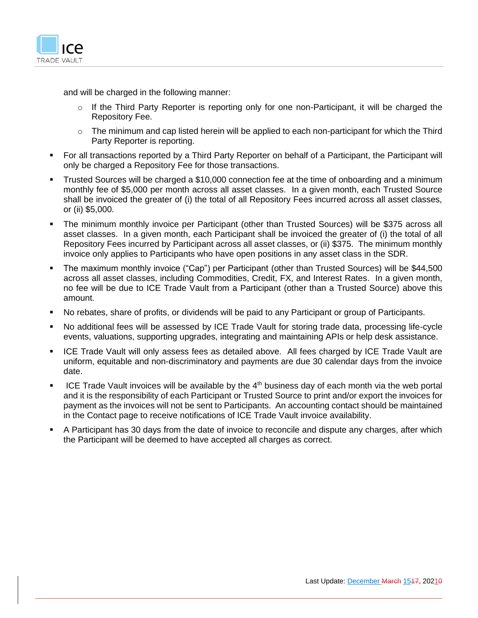

and will be charged in the following manner:

- $\circ$  If the Third Party Reporter is reporting only for one non-Participant, it will be charged the Repository Fee.
- $\circ$  The minimum and cap listed herein will be applied to each non-participant for which the Third Party Reporter is reporting.
- For all transactions reported by a Third Party Reporter on behalf of a Participant, the Participant will only be charged a Repository Fee for those transactions.
- **•** Trusted Sources will be charged a \$10,000 connection fee at the time of onboarding and a minimum monthly fee of \$5,000 per month across all asset classes. In a given month, each Trusted Source shall be invoiced the greater of (i) the total of all Repository Fees incurred across all asset classes, or (ii) \$5,000.
- The minimum monthly invoice per Participant (other than Trusted Sources) will be \$375 across all asset classes. In a given month, each Participant shall be invoiced the greater of (i) the total of all Repository Fees incurred by Participant across all asset classes, or (ii) \$375. The minimum monthly invoice only applies to Participants who have open positions in any asset class in the SDR.
- The maximum monthly invoice ("Cap") per Participant (other than Trusted Sources) will be \$44,500 across all asset classes, including Commodities, Credit, FX, and Interest Rates. In a given month, no fee will be due to ICE Trade Vault from a Participant (other than a Trusted Source) above this amount.
- No rebates, share of profits, or dividends will be paid to any Participant or group of Participants.
- No additional fees will be assessed by ICE Trade Vault for storing trade data, processing life-cycle events, valuations, supporting upgrades, integrating and maintaining APIs or help desk assistance.
- ICE Trade Vault will only assess fees as detailed above. All fees charged by ICE Trade Vault are uniform, equitable and non-discriminatory and payments are due 30 calendar days from the invoice date.
- ICE Trade Vault invoices will be available by the 4<sup>th</sup> business day of each month via the web portal and it is the responsibility of each Participant or Trusted Source to print and/or export the invoices for payment as the invoices will not be sent to Participants. An accounting contact should be maintained in the Contact page to receive notifications of ICE Trade Vault invoice availability.
- A Participant has 30 days from the date of invoice to reconcile and dispute any charges, after which the Participant will be deemed to have accepted all charges as correct.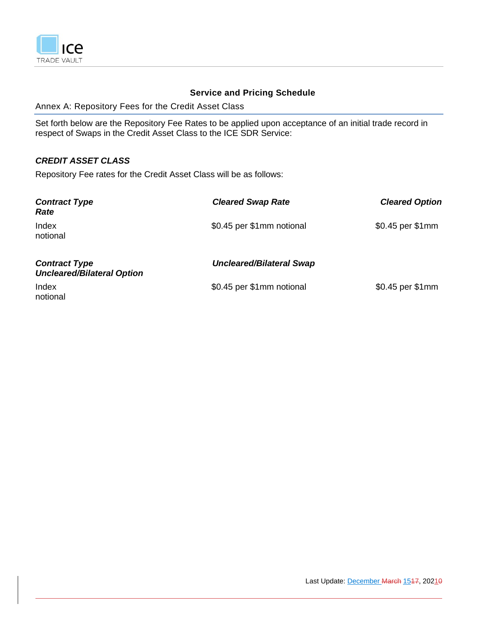

# **Service and Pricing Schedule**

Annex A: Repository Fees for the Credit Asset Class

Set forth below are the Repository Fee Rates to be applied upon acceptance of an initial trade record in respect of Swaps in the Credit Asset Class to the ICE SDR Service:

# *CREDIT ASSET CLASS*

Repository Fee rates for the Credit Asset Class will be as follows:

| <b>Contract Type</b><br>Rate                              | <b>Cleared Swap Rate</b>        | <b>Cleared Option</b> |
|-----------------------------------------------------------|---------------------------------|-----------------------|
| Index<br>notional                                         | \$0.45 per \$1mm notional       | \$0.45 per \$1mm      |
| <b>Contract Type</b><br><b>Uncleared/Bilateral Option</b> | <b>Uncleared/Bilateral Swap</b> |                       |
| Index<br>notional                                         | \$0.45 per \$1mm notional       | \$0.45 per \$1mm      |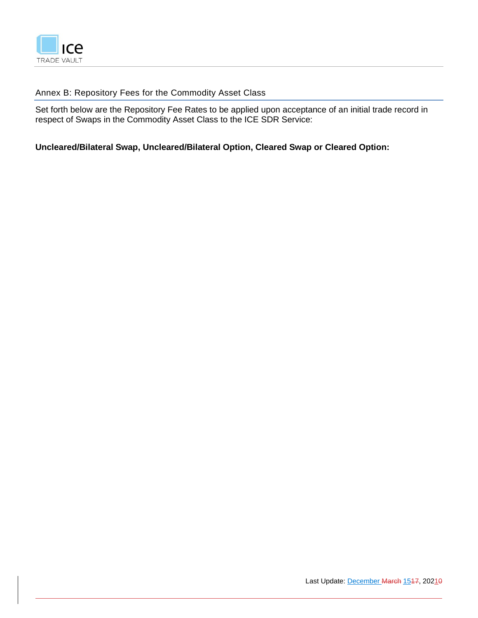

# Annex B: Repository Fees for the Commodity Asset Class

Set forth below are the Repository Fee Rates to be applied upon acceptance of an initial trade record in respect of Swaps in the Commodity Asset Class to the ICE SDR Service:

**Uncleared/Bilateral Swap, Uncleared/Bilateral Option, Cleared Swap or Cleared Option:**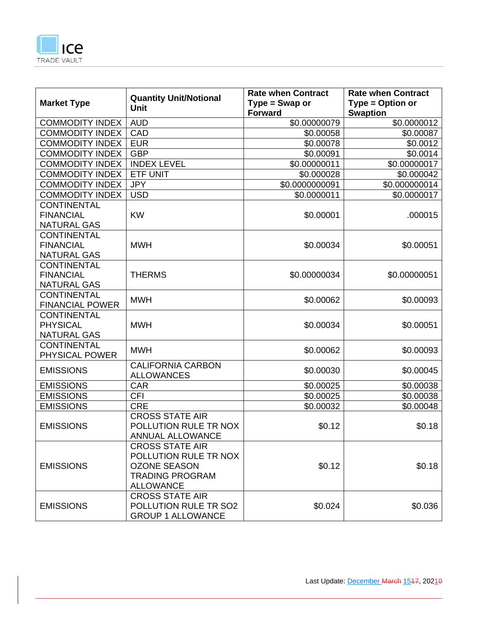

| <b>Market Type</b>     | <b>Quantity Unit/Notional</b><br><b>Unit</b> | <b>Rate when Contract</b><br>$Type = Swap$ or<br><b>Forward</b> | <b>Rate when Contract</b><br>Type = Option or<br><b>Swaption</b> |
|------------------------|----------------------------------------------|-----------------------------------------------------------------|------------------------------------------------------------------|
| <b>COMMODITY INDEX</b> | <b>AUD</b>                                   | \$0.00000079                                                    | $\frac{1}{30.0000012}$                                           |
| <b>COMMODITY INDEX</b> | CAD                                          | \$0.00058                                                       | \$0.00087                                                        |
| <b>COMMODITY INDEX</b> | <b>EUR</b>                                   | \$0.00078                                                       | \$0.0012                                                         |
| <b>COMMODITY INDEX</b> | <b>GBP</b>                                   | \$0.00091                                                       | \$0.0014                                                         |
| <b>COMMODITY INDEX</b> | <b>INDEX LEVEL</b>                           | \$0.00000011                                                    | \$0.00000017                                                     |
| <b>COMMODITY INDEX</b> | <b>ETF UNIT</b>                              | \$0.000028                                                      | \$0.000042                                                       |
| <b>COMMODITY INDEX</b> | <b>JPY</b>                                   | \$0.0000000091                                                  | \$0.000000014                                                    |
| <b>COMMODITY INDEX</b> | <b>USD</b>                                   | \$0.0000011                                                     | \$0.0000017                                                      |
| <b>CONTINENTAL</b>     |                                              |                                                                 |                                                                  |
| <b>FINANCIAL</b>       | <b>KW</b>                                    | \$0.00001                                                       | .000015                                                          |
| <b>NATURAL GAS</b>     |                                              |                                                                 |                                                                  |
| <b>CONTINENTAL</b>     |                                              |                                                                 |                                                                  |
| <b>FINANCIAL</b>       | <b>MWH</b>                                   | \$0.00034                                                       | \$0.00051                                                        |
| <b>NATURAL GAS</b>     |                                              |                                                                 |                                                                  |
| <b>CONTINENTAL</b>     |                                              |                                                                 |                                                                  |
| <b>FINANCIAL</b>       | <b>THERMS</b>                                | \$0.00000034                                                    | \$0.00000051                                                     |
| <b>NATURAL GAS</b>     |                                              |                                                                 |                                                                  |
| <b>CONTINENTAL</b>     | <b>MWH</b>                                   | \$0.00062                                                       | \$0.00093                                                        |
| <b>FINANCIAL POWER</b> |                                              |                                                                 |                                                                  |
| <b>CONTINENTAL</b>     |                                              |                                                                 |                                                                  |
| <b>PHYSICAL</b>        | <b>MWH</b>                                   | \$0.00034                                                       | \$0.00051                                                        |
| <b>NATURAL GAS</b>     |                                              |                                                                 |                                                                  |
| <b>CONTINENTAL</b>     | <b>MWH</b>                                   | \$0.00062                                                       | \$0.00093                                                        |
| PHYSICAL POWER         |                                              |                                                                 |                                                                  |
| <b>EMISSIONS</b>       | <b>CALIFORNIA CARBON</b>                     | \$0.00030                                                       | \$0.00045                                                        |
|                        | <b>ALLOWANCES</b>                            |                                                                 |                                                                  |
| <b>EMISSIONS</b>       | CAR                                          | \$0.00025                                                       | \$0.00038                                                        |
| <b>EMISSIONS</b>       | <b>CFI</b>                                   | \$0.00025                                                       | \$0.00038                                                        |
| <b>EMISSIONS</b>       | <b>CRE</b>                                   | \$0.00032                                                       | \$0.00048                                                        |
|                        | <b>CROSS STATE AIR</b>                       |                                                                 |                                                                  |
| <b>EMISSIONS</b>       | POLLUTION RULE TR NOX                        | \$0.12                                                          | \$0.18                                                           |
|                        | ANNUAL ALLOWANCE                             |                                                                 |                                                                  |
|                        | <b>CROSS STATE AIR</b>                       |                                                                 |                                                                  |
|                        | POLLUTION RULE TR NOX                        |                                                                 |                                                                  |
| <b>EMISSIONS</b>       | <b>OZONE SEASON</b>                          | \$0.12                                                          | \$0.18                                                           |
|                        | <b>TRADING PROGRAM</b>                       |                                                                 |                                                                  |
|                        | <b>ALLOWANCE</b><br><b>CROSS STATE AIR</b>   |                                                                 |                                                                  |
|                        | POLLUTION RULE TR SO2                        | \$0.024                                                         | \$0.036                                                          |
| <b>EMISSIONS</b>       | <b>GROUP 1 ALLOWANCE</b>                     |                                                                 |                                                                  |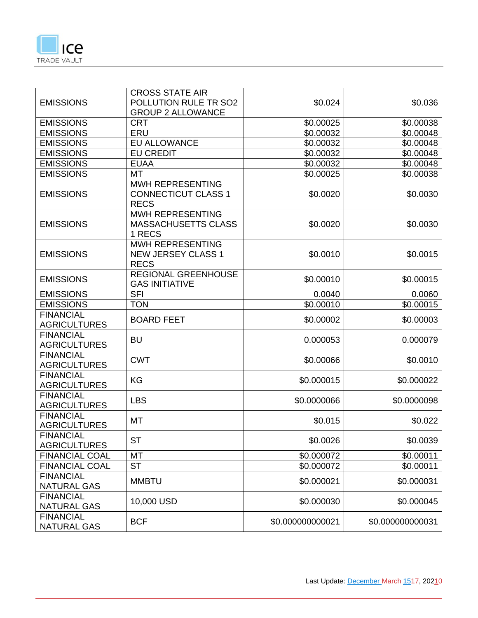

| <b>EMISSIONS</b>                        | <b>CROSS STATE AIR</b><br>POLLUTION RULE TR SO2                      | \$0.024          | \$0.036          |
|-----------------------------------------|----------------------------------------------------------------------|------------------|------------------|
|                                         | <b>GROUP 2 ALLOWANCE</b>                                             |                  |                  |
| <b>EMISSIONS</b>                        | <b>CRT</b>                                                           | \$0.00025        | \$0.00038        |
| <b>EMISSIONS</b>                        | ERU                                                                  | \$0.00032        | \$0.00048        |
| <b>EMISSIONS</b>                        | <b>EU ALLOWANCE</b>                                                  | \$0.00032        | \$0.00048        |
| <b>EMISSIONS</b>                        | <b>EU CREDIT</b>                                                     | \$0.00032        | \$0.00048        |
| <b>EMISSIONS</b>                        | <b>EUAA</b>                                                          | \$0.00032        | \$0.00048        |
| <b>EMISSIONS</b>                        | <b>MT</b>                                                            | \$0.00025        | \$0.00038        |
| <b>EMISSIONS</b>                        | <b>MWH REPRESENTING</b><br><b>CONNECTICUT CLASS 1</b><br><b>RECS</b> | \$0.0020         | \$0.0030         |
| <b>EMISSIONS</b>                        | <b>MWH REPRESENTING</b><br><b>MASSACHUSETTS CLASS</b><br>1 RECS      | \$0.0020         | \$0.0030         |
| <b>EMISSIONS</b>                        | <b>MWH REPRESENTING</b><br><b>NEW JERSEY CLASS 1</b><br><b>RECS</b>  | \$0.0010         | \$0.0015         |
| <b>EMISSIONS</b>                        | <b>REGIONAL GREENHOUSE</b><br><b>GAS INITIATIVE</b>                  | \$0.00010        | \$0.00015        |
| <b>EMISSIONS</b>                        | <b>SFI</b>                                                           | 0.0040           | 0.0060           |
| <b>EMISSIONS</b>                        | <b>TON</b>                                                           | \$0.00010        | \$0.00015        |
| <b>FINANCIAL</b><br><b>AGRICULTURES</b> | <b>BOARD FEET</b>                                                    | \$0.00002        | \$0.00003        |
| <b>FINANCIAL</b><br><b>AGRICULTURES</b> | <b>BU</b>                                                            | 0.000053         | 0.000079         |
| <b>FINANCIAL</b><br><b>AGRICULTURES</b> | <b>CWT</b>                                                           | \$0.00066        | \$0.0010         |
| <b>FINANCIAL</b><br><b>AGRICULTURES</b> | KG                                                                   | \$0.000015       | \$0.000022       |
| <b>FINANCIAL</b><br><b>AGRICULTURES</b> | <b>LBS</b>                                                           | \$0.0000066      | \$0.0000098      |
| <b>FINANCIAL</b><br><b>AGRICULTURES</b> | MT                                                                   | \$0.015          | \$0.022          |
| <b>FINANCIAL</b><br><b>AGRICULTURES</b> | <b>ST</b>                                                            | \$0.0026         | \$0.0039         |
| <b>FINANCIAL COAL</b>                   | MT                                                                   | \$0.000072       | \$0.00011        |
| <b>FINANCIAL COAL</b>                   | <b>ST</b>                                                            | \$0.000072       | \$0.00011        |
| <b>FINANCIAL</b><br><b>NATURAL GAS</b>  | <b>MMBTU</b>                                                         | \$0.000021       | \$0.000031       |
| <b>FINANCIAL</b><br><b>NATURAL GAS</b>  | 10,000 USD                                                           | \$0.000030       | \$0.000045       |
| <b>FINANCIAL</b><br><b>NATURAL GAS</b>  | <b>BCF</b>                                                           | \$0.000000000021 | \$0.000000000031 |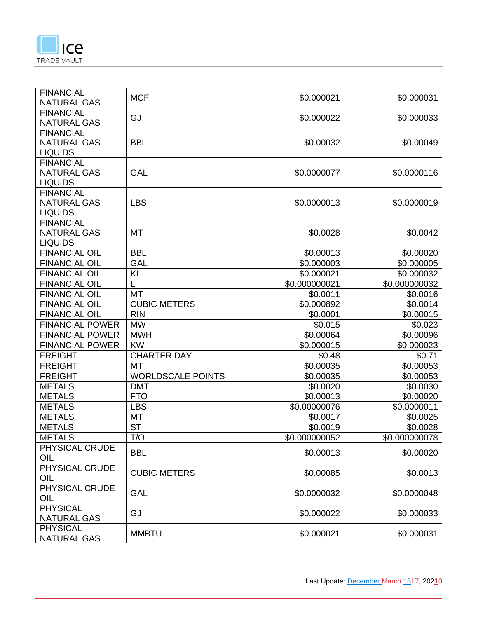

| <b>FINANCIAL</b>                       | <b>MCF</b>               | \$0.000021    | \$0.000031            |
|----------------------------------------|--------------------------|---------------|-----------------------|
| <b>NATURAL GAS</b><br><b>FINANCIAL</b> |                          |               |                       |
| <b>NATURAL GAS</b>                     | GJ                       | \$0.000022    | \$0.000033            |
| <b>FINANCIAL</b>                       |                          |               |                       |
| <b>NATURAL GAS</b>                     | <b>BBL</b>               | \$0.00032     | \$0.00049             |
| <b>LIQUIDS</b>                         |                          |               |                       |
| <b>FINANCIAL</b>                       |                          |               |                       |
| <b>NATURAL GAS</b>                     | <b>GAL</b>               | \$0.0000077   | \$0.0000116           |
| <b>LIQUIDS</b>                         |                          |               |                       |
| <b>FINANCIAL</b>                       |                          |               |                       |
| <b>NATURAL GAS</b>                     | <b>LBS</b>               | \$0.0000013   | \$0.0000019           |
| <b>LIQUIDS</b>                         |                          |               |                       |
| <b>FINANCIAL</b>                       |                          |               |                       |
| <b>NATURAL GAS</b>                     | МT                       | \$0.0028      | \$0.0042              |
| <b>LIQUIDS</b>                         |                          |               |                       |
| <b>FINANCIAL OIL</b>                   | <b>BBL</b>               | \$0.00013     | \$0.00020             |
| <b>FINANCIAL OIL</b>                   | <b>GAL</b>               | \$0.000003    | \$0.000005            |
| <b>FINANCIAL OIL</b>                   | <b>KL</b>                | \$0.000021    | \$0.000032            |
| <b>FINANCIAL OIL</b>                   |                          | \$0.000000021 | \$0.000000032         |
| <b>FINANCIAL OIL</b>                   | MT                       | \$0.0011      | \$0.0016              |
| <b>FINANCIAL OIL</b>                   | <b>CUBIC METERS</b>      | \$0.000892    | \$0.0014              |
| <b>FINANCIAL OIL</b>                   | <b>RIN</b>               | \$0.0001      | $\overline{$}0.00015$ |
| <b>FINANCIAL POWER</b>                 | <b>MW</b>                | \$0.015       | \$0.023               |
| <b>FINANCIAL POWER</b>                 | <b>MWH</b>               | \$0.00064     | \$0.00096             |
| <b>FINANCIAL POWER</b>                 | <b>KW</b>                | \$0.000015    | \$0.000023            |
| <b>FREIGHT</b>                         | <b>CHARTER DAY</b>       | \$0.48        | \$0.71                |
| <b>FREIGHT</b>                         | MT                       | \$0.00035     | \$0.00053             |
| <b>FREIGHT</b>                         | <b>WORLDSCALE POINTS</b> | \$0.00035     | \$0.00053             |
| <b>METALS</b>                          | <b>DMT</b>               | \$0.0020      | \$0.0030              |
| <b>METALS</b>                          | <b>FTO</b>               | \$0.00013     | \$0.00020             |
| <b>METALS</b>                          | <b>LBS</b>               | \$0.00000076  | \$0.0000011           |
| <b>METALS</b>                          | MT                       | \$0.0017      | \$0.0025              |
| <b>METALS</b>                          | <b>ST</b>                | \$0.0019      | \$0.0028              |
| <b>METALS</b>                          | T/O                      | \$0.000000052 | \$0.000000078         |
| PHYSICAL CRUDE                         |                          |               |                       |
| OIL                                    | <b>BBL</b>               | \$0.00013     | \$0.00020             |
| PHYSICAL CRUDE                         | <b>CUBIC METERS</b>      |               | \$0.0013              |
| OIL                                    |                          | \$0.00085     |                       |
| PHYSICAL CRUDE                         | GAL                      | \$0.0000032   | \$0.0000048           |
| OIL                                    |                          |               |                       |
| <b>PHYSICAL</b>                        | GJ                       | \$0.000022    | \$0.000033            |
| <b>NATURAL GAS</b>                     |                          |               |                       |
| <b>PHYSICAL</b>                        | <b>MMBTU</b>             | \$0.000021    | \$0.000031            |
| <b>NATURAL GAS</b>                     |                          |               |                       |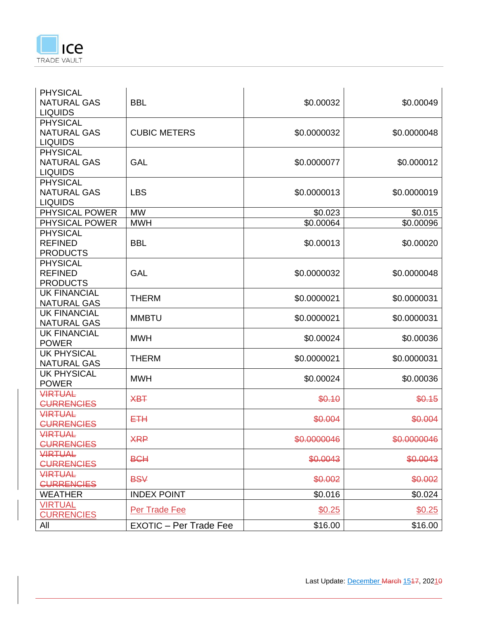

| <b>PHYSICAL</b><br><b>NATURAL GAS</b><br><b>BBL</b> | \$0.00032   | \$0.00049   |
|-----------------------------------------------------|-------------|-------------|
| <b>LIQUIDS</b>                                      |             |             |
| <b>PHYSICAL</b>                                     |             |             |
| <b>NATURAL GAS</b><br><b>CUBIC METERS</b>           | \$0.0000032 | \$0.0000048 |
| <b>LIQUIDS</b>                                      |             |             |
| <b>PHYSICAL</b>                                     |             |             |
| <b>NATURAL GAS</b><br><b>GAL</b>                    | \$0.0000077 | \$0.000012  |
| <b>LIQUIDS</b>                                      |             |             |
| <b>PHYSICAL</b>                                     |             |             |
| <b>NATURAL GAS</b><br><b>LBS</b>                    | \$0.0000013 | \$0.0000019 |
| <b>LIQUIDS</b>                                      |             |             |
| PHYSICAL POWER<br><b>MW</b>                         | \$0.023     | \$0.015     |
| PHYSICAL POWER<br><b>MWH</b>                        | \$0.00064   | \$0.00096   |
| <b>PHYSICAL</b>                                     |             |             |
| <b>REFINED</b><br><b>BBL</b>                        | \$0.00013   | \$0.00020   |
| <b>PRODUCTS</b>                                     |             |             |
| <b>PHYSICAL</b>                                     |             |             |
| <b>REFINED</b><br><b>GAL</b>                        | \$0.0000032 | \$0.0000048 |
| <b>PRODUCTS</b>                                     |             |             |
| <b>UK FINANCIAL</b><br><b>THERM</b>                 | \$0.0000021 | \$0.0000031 |
| <b>NATURAL GAS</b>                                  |             |             |
| <b>UK FINANCIAL</b><br><b>MMBTU</b>                 | \$0.0000021 | \$0.0000031 |
| <b>NATURAL GAS</b>                                  |             |             |
| <b>UK FINANCIAL</b><br><b>MWH</b>                   | \$0.00024   | \$0.00036   |
| <b>POWER</b>                                        |             |             |
| <b>UK PHYSICAL</b><br><b>THERM</b>                  | \$0.0000021 | \$0.0000031 |
| <b>NATURAL GAS</b>                                  |             |             |
| <b>UK PHYSICAL</b><br><b>MWH</b>                    | \$0.00024   | \$0.00036   |
| <b>POWER</b>                                        |             |             |
| <b>VIRTUAL</b><br><b>XBT</b>                        |             | \$0.15      |
| <b>CURRENCIES</b>                                   | \$0.10      |             |
| <b>VIRTUAL</b><br>ETH                               |             |             |
| <b>CURRENCIES</b>                                   | \$0.004     | \$0.004     |
| <b>VIRTUAL</b>                                      |             |             |
| <b>XRP</b><br><b>CURRENCIES</b>                     | \$0.0000046 | \$0.0000046 |
| <b>VIRTUAL</b>                                      |             |             |
| <b>BCH</b><br><b>CURRENCIES</b>                     | \$0.0043    | \$0.0043    |
| <b>VIRTUAL</b>                                      |             |             |
| <b>BSV</b><br><b>CURRENCIES</b>                     | \$0.002     | \$0.002     |
| <b>INDEX POINT</b><br><b>WEATHER</b>                | \$0.016     | \$0.024     |
| <b>VIRTUAL</b>                                      |             |             |
| Per Trade Fee<br><b>CURRENCIES</b>                  | \$0.25      | \$0.25      |
| <b>EXOTIC - Per Trade Fee</b><br>All                | \$16.00     | \$16.00     |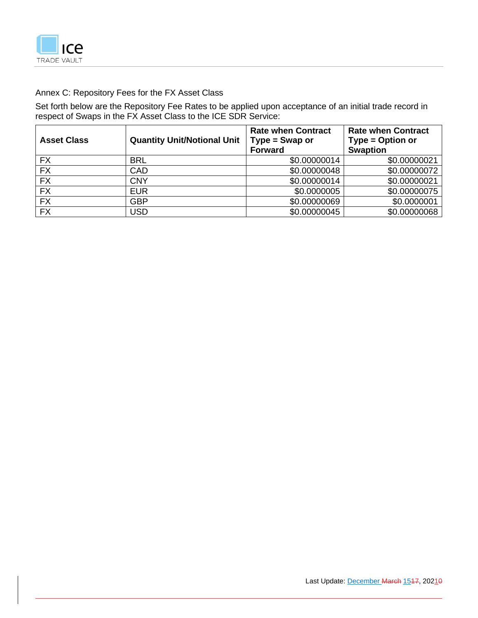

# Annex C: Repository Fees for the FX Asset Class

Set forth below are the Repository Fee Rates to be applied upon acceptance of an initial trade record in respect of Swaps in the FX Asset Class to the ICE SDR Service:

| <b>Asset Class</b> | <b>Quantity Unit/Notional Unit</b> | <b>Rate when Contract</b><br>$Type = Swap$ or<br>Forward | <b>Rate when Contract</b><br>Type = Option or<br><b>Swaption</b> |
|--------------------|------------------------------------|----------------------------------------------------------|------------------------------------------------------------------|
| <b>FX</b>          | <b>BRL</b>                         | \$0.00000014                                             | \$0.00000021                                                     |
| <b>FX</b>          | CAD                                | \$0.00000048                                             | \$0.00000072                                                     |
| <b>FX</b>          | <b>CNY</b>                         | \$0.00000014                                             | \$0.00000021                                                     |
| <b>FX</b>          | <b>EUR</b>                         | \$0.0000005                                              | \$0.00000075                                                     |
| <b>FX</b>          | <b>GBP</b>                         | \$0.00000069                                             | \$0.0000001                                                      |
| <b>FX</b>          | USD                                | \$0.00000045                                             | \$0.00000068                                                     |